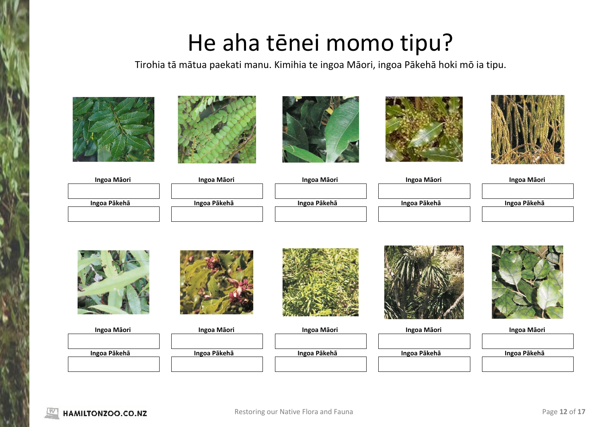## He aha tēnei momo tipu?

Tirohia tā mātua paekati manu. Kimihia te ingoa Māori, ingoa Pākehā hoki mō ia tipu.











| Ingoa Māori  | Ingoa Māori  | Ingoa Māori  | Ingoa Māori  | Ingoa Māori  |
|--------------|--------------|--------------|--------------|--------------|
|              |              |              |              |              |
|              |              |              |              |              |
| Ingoa Pākehā | Ingoa Pākehā | Ingoa Pākehā | Ingoa Pākehā | Ingoa Pākehā |
|              |              |              |              |              |
|              |              |              |              |              |
|              |              |              |              |              |

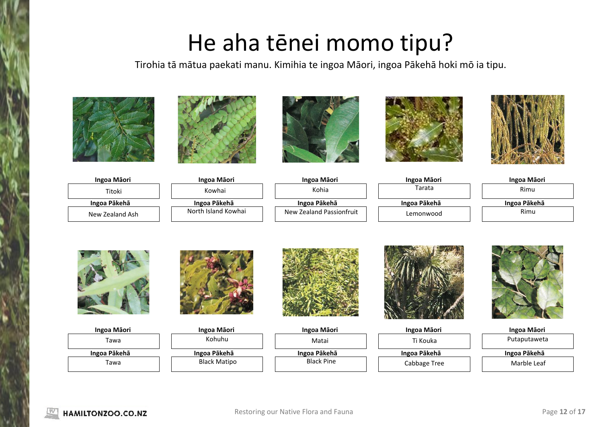# He aha tēnei momo tipu?

Tirohia tā mātua paekati manu. Kimihia te ingoa Māori, ingoa Pākehā hoki mō ia tipu.





Black Matipo







| Ingoa Māori     | Ingoa Māori         | Ingoa Māori              | <b>Ingoa Māori</b> | Ingoa Māori  |
|-----------------|---------------------|--------------------------|--------------------|--------------|
| Titoki          | Kowhai              | Kohia                    | Tarata             | Rimu         |
| Ingoa Pākehā    | Ingoa Pākehā        | Ingoa Pākehā             | Ingoa Pākehā       | Ingoa Pākehā |
| New Zealand Ash | North Island Kowhai | New Zealand Passionfruit | Lemonwood          | Rimu         |



**Ingoa Pākehā Ingoa Pākehā Ingoa Pākehā Ingoa Pākehā Ingoa Pākehā** Tawa

Matai Black Pine

Ti Kouka Cabbage Tree

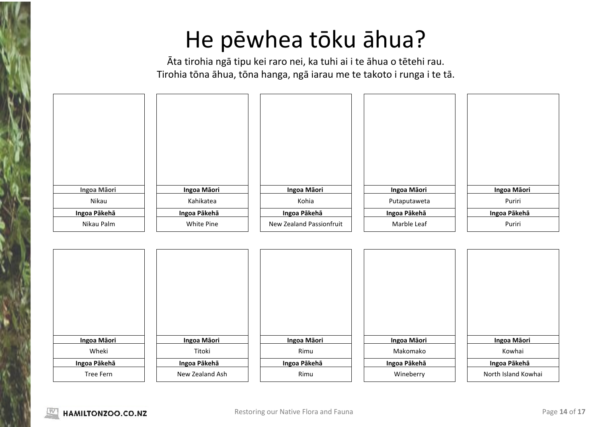# He pēwhea tōku āhua?

Āta tirohia ngā tipu kei raro nei, ka tuhi ai i te āhua o tētehi rau. Tirohia tōna āhua, tōna hanga, ngā iarau me te takoto i runga i te tā.

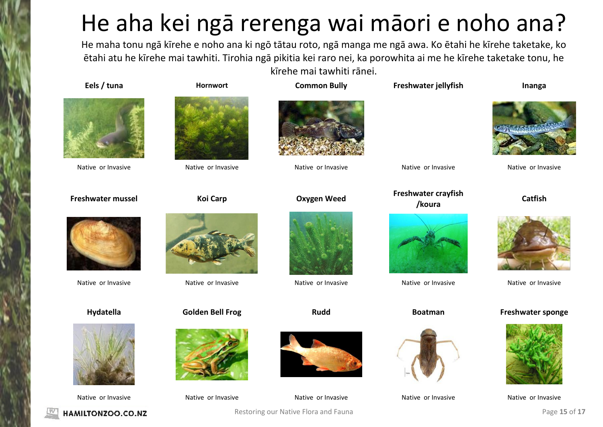# He aha kei ngā rerenga wai māori e noho ana?

He maha tonu ngā kīrehe e noho ana ki ngō tātau roto, ngā manga me ngā awa. Ko ētahi he kīrehe taketake, ko ētahi atu he kīrehe mai tawhiti. Tirohia ngā pikitia kei raro nei, ka porowhita ai me he kīrehe taketake tonu, he kīrehe mai tawhiti rānei.



,u**Bi**U ZIc**ØE]A]§Ø]** 



He mea taketake, he kīrehe mai twahiti rānei



He mea taketake, he kīrehe mai twahiti rānei



,u**bi**U ZIc**ØE]A]§Ø]** 



He mea taketake, he kīrehe mai twahiti rānei



He mea taketake, he kīrehe mai twahiti rānei



,u**Bi**U

### **Eels / tuna Hornwort Common Bully Freshwater jellyfish Inanga**



He mea taketake, he kīrehe mai twahiti rānei

**Freshwater crayfish**<br>
/koura *Catfish* 



He mea taketake, he kīrehe mai twahiti rānei



he kīrehe mai twahiti rānei



He mea taketake, he kīrehe mai twahiti rānei



He mea taketake, he kīrehe mai twahiti rānei

### **Hydatella Golden Bell Frog Rudd Boatman Freshwater sponge**



He mea taketake, he kīrehe mai twahiti rānei



He mea taketake, he kīrehe mai twahiti rānei



He mea taketake, he mea taketake,<br>he kīrehe mai twahiti rānei **He mea taketake**,